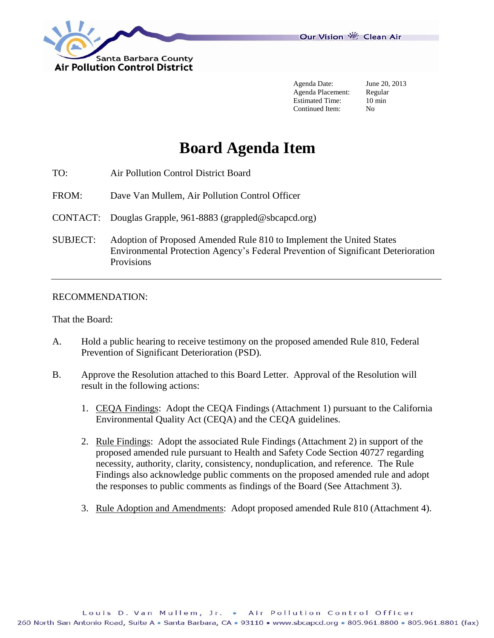

Agenda Date: June 20, 2013 Agenda Placement: Regular<br>Estimated Time: 10 min Estimated Time: Continued Item: No

# **Board Agenda Item**

- TO: Air Pollution Control District Board
- FROM: Dave Van Mullem, Air Pollution Control Officer
- CONTACT: Douglas Grapple, 961-8883 (grappled@sbcapcd.org)
- SUBJECT: Adoption of Proposed Amended Rule 810 to Implement the United States Environmental Protection Agency's Federal Prevention of Significant Deterioration Provisions

#### RECOMMENDATION:

That the Board:

- A. Hold a public hearing to receive testimony on the proposed amended Rule 810, Federal Prevention of Significant Deterioration (PSD).
- B. Approve the Resolution attached to this Board Letter. Approval of the Resolution will result in the following actions:
	- 1. CEQA Findings: Adopt the CEQA Findings (Attachment 1) pursuant to the California Environmental Quality Act (CEQA) and the CEQA guidelines.
	- 2. Rule Findings: Adopt the associated Rule Findings (Attachment 2) in support of the proposed amended rule pursuant to Health and Safety Code Section 40727 regarding necessity, authority, clarity, consistency, nonduplication, and reference. The Rule Findings also acknowledge public comments on the proposed amended rule and adopt the responses to public comments as findings of the Board (See Attachment 3).
	- 3. Rule Adoption and Amendments: Adopt proposed amended Rule 810 (Attachment 4).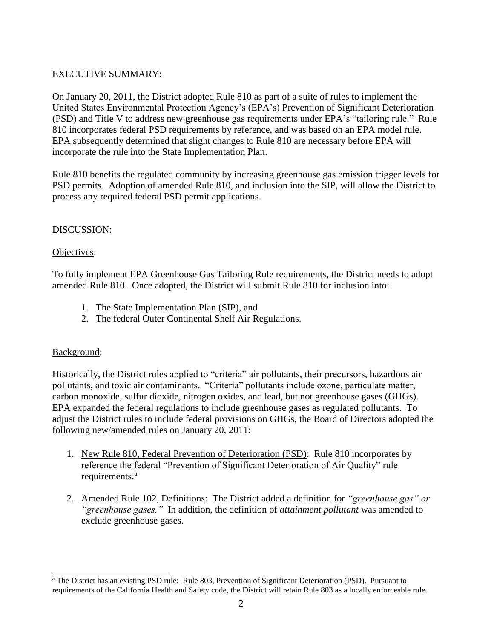### EXECUTIVE SUMMARY:

On January 20, 2011, the District adopted Rule 810 as part of a suite of rules to implement the United States Environmental Protection Agency's (EPA's) Prevention of Significant Deterioration (PSD) and Title V to address new greenhouse gas requirements under EPA's "tailoring rule." Rule 810 incorporates federal PSD requirements by reference, and was based on an EPA model rule. EPA subsequently determined that slight changes to Rule 810 are necessary before EPA will incorporate the rule into the State Implementation Plan.

Rule 810 benefits the regulated community by increasing greenhouse gas emission trigger levels for PSD permits. Adoption of amended Rule 810, and inclusion into the SIP, will allow the District to process any required federal PSD permit applications.

### DISCUSSION:

### Objectives:

To fully implement EPA Greenhouse Gas Tailoring Rule requirements, the District needs to adopt amended Rule 810. Once adopted, the District will submit Rule 810 for inclusion into:

- 1. The State Implementation Plan (SIP), and
- 2. The federal Outer Continental Shelf Air Regulations.

### Background:

Historically, the District rules applied to "criteria" air pollutants, their precursors, hazardous air pollutants, and toxic air contaminants. "Criteria" pollutants include ozone, particulate matter, carbon monoxide, sulfur dioxide, nitrogen oxides, and lead, but not greenhouse gases (GHGs). EPA expanded the federal regulations to include greenhouse gases as regulated pollutants. To adjust the District rules to include federal provisions on GHGs, the Board of Directors adopted the following new/amended rules on January 20, 2011:

- 1. New Rule 810, Federal Prevention of Deterioration (PSD): Rule 810 incorporates by reference the federal "Prevention of Significant Deterioration of Air Quality" rule requirements.<sup>a</sup>
- 2. Amended Rule 102, Definitions: The District added a definition for *"greenhouse gas" or "greenhouse gases."* In addition, the definition of *attainment pollutant* was amended to exclude greenhouse gases.

l <sup>a</sup> The District has an existing PSD rule: Rule 803, Prevention of Significant Deterioration (PSD). Pursuant to requirements of the California Health and Safety code, the District will retain Rule 803 as a locally enforceable rule.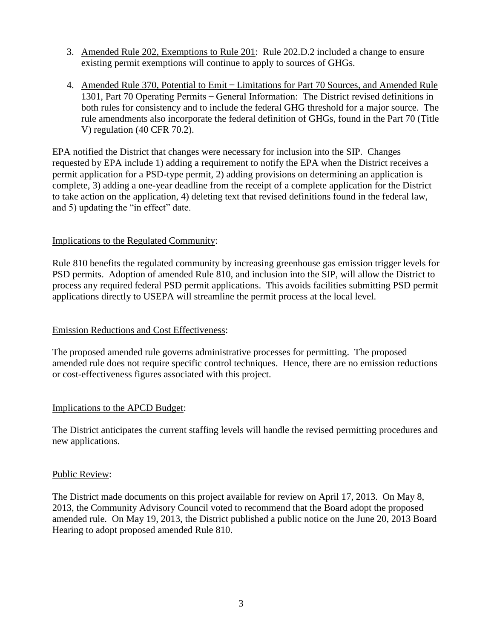- 3. Amended Rule 202, Exemptions to Rule 201: Rule 202.D.2 included a change to ensure existing permit exemptions will continue to apply to sources of GHGs.
- 4. Amended Rule 370, Potential to Emit ̶ Limitations for Part 70 Sources, and Amended Rule 1301, Part 70 Operating Permits ̶ General Information: The District revised definitions in both rules for consistency and to include the federal GHG threshold for a major source. The rule amendments also incorporate the federal definition of GHGs, found in the Part 70 (Title V) regulation (40 CFR 70.2).

EPA notified the District that changes were necessary for inclusion into the SIP. Changes requested by EPA include 1) adding a requirement to notify the EPA when the District receives a permit application for a PSD-type permit, 2) adding provisions on determining an application is complete, 3) adding a one-year deadline from the receipt of a complete application for the District to take action on the application, 4) deleting text that revised definitions found in the federal law, and 5) updating the "in effect" date.

### Implications to the Regulated Community:

Rule 810 benefits the regulated community by increasing greenhouse gas emission trigger levels for PSD permits. Adoption of amended Rule 810, and inclusion into the SIP, will allow the District to process any required federal PSD permit applications. This avoids facilities submitting PSD permit applications directly to USEPA will streamline the permit process at the local level.

### Emission Reductions and Cost Effectiveness:

The proposed amended rule governs administrative processes for permitting. The proposed amended rule does not require specific control techniques. Hence, there are no emission reductions or cost-effectiveness figures associated with this project.

### Implications to the APCD Budget:

The District anticipates the current staffing levels will handle the revised permitting procedures and new applications.

### Public Review:

The District made documents on this project available for review on April 17, 2013. On May 8, 2013, the Community Advisory Council voted to recommend that the Board adopt the proposed amended rule. On May 19, 2013, the District published a public notice on the June 20, 2013 Board Hearing to adopt proposed amended Rule 810.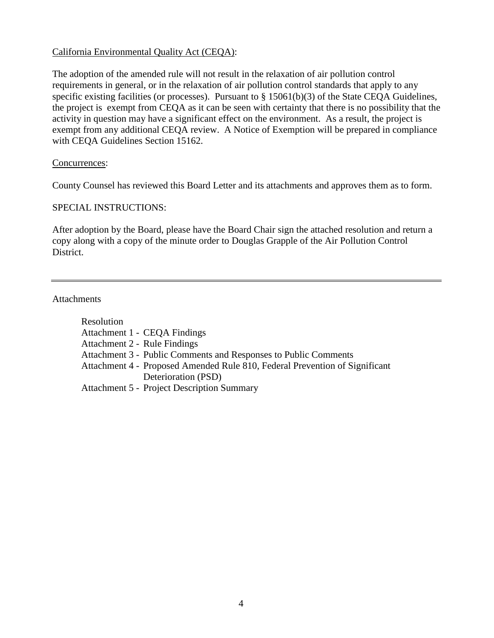### California Environmental Quality Act (CEQA):

The adoption of the amended rule will not result in the relaxation of air pollution control requirements in general, or in the relaxation of air pollution control standards that apply to any specific existing facilities (or processes). Pursuant to § 15061(b)(3) of the State CEQA Guidelines, the project is exempt from CEQA as it can be seen with certainty that there is no possibility that the activity in question may have a significant effect on the environment. As a result, the project is exempt from any additional CEQA review. A Notice of Exemption will be prepared in compliance with CEQA Guidelines Section 15162.

### Concurrences:

County Counsel has reviewed this Board Letter and its attachments and approves them as to form.

### SPECIAL INSTRUCTIONS:

After adoption by the Board, please have the Board Chair sign the attached resolution and return a copy along with a copy of the minute order to Douglas Grapple of the Air Pollution Control District.

### **Attachments**

| Resolution                   |                                                                             |
|------------------------------|-----------------------------------------------------------------------------|
|                              | Attachment 1 - CEQA Findings                                                |
| Attachment 2 - Rule Findings |                                                                             |
|                              | Attachment 3 - Public Comments and Responses to Public Comments             |
|                              | Attachment 4 - Proposed Amended Rule 810, Federal Prevention of Significant |
|                              | Deterioration (PSD)                                                         |
|                              | <b>Attachment 5 - Project Description Summary</b>                           |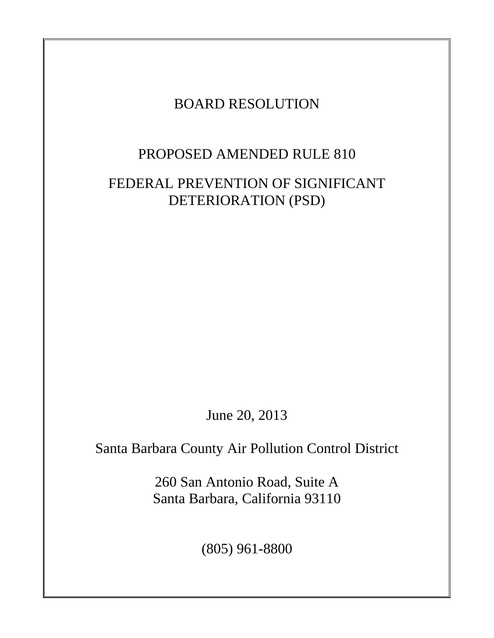### BOARD RESOLUTION

### PROPOSED AMENDED RULE 810

### FEDERAL PREVENTION OF SIGNIFICANT DETERIORATION (PSD)

June 20, 2013

Santa Barbara County Air Pollution Control District

260 San Antonio Road, Suite A Santa Barbara, California 93110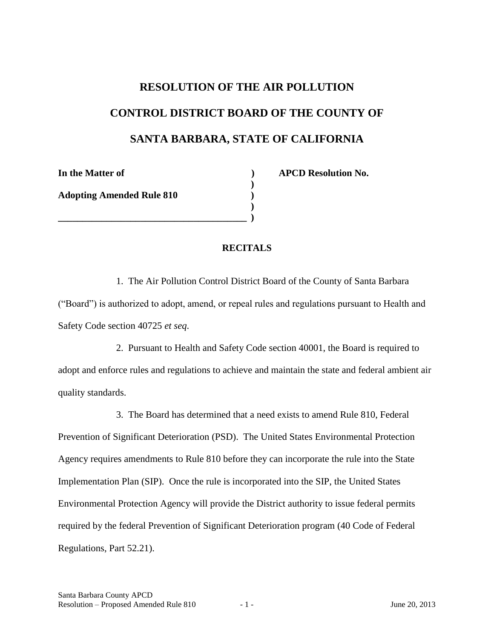# **RESOLUTION OF THE AIR POLLUTION CONTROL DISTRICT BOARD OF THE COUNTY OF SANTA BARBARA, STATE OF CALIFORNIA**

**)**

**)**

**Adopting Amended Rule 810 )**

**\_\_\_\_\_\_\_\_\_\_\_\_\_\_\_\_\_\_\_\_\_\_\_\_\_\_\_\_\_\_\_\_\_\_\_\_\_\_\_ )**

**In the Matter of ) APCD Resolution No.** 

### **RECITALS**

1. The Air Pollution Control District Board of the County of Santa Barbara ("Board") is authorized to adopt, amend, or repeal rules and regulations pursuant to Health and Safety Code section 40725 *et seq*.

2. Pursuant to Health and Safety Code section 40001, the Board is required to adopt and enforce rules and regulations to achieve and maintain the state and federal ambient air quality standards.

3. The Board has determined that a need exists to amend Rule 810, Federal Prevention of Significant Deterioration (PSD). The United States Environmental Protection Agency requires amendments to Rule 810 before they can incorporate the rule into the State Implementation Plan (SIP). Once the rule is incorporated into the SIP, the United States Environmental Protection Agency will provide the District authority to issue federal permits required by the federal Prevention of Significant Deterioration program (40 Code of Federal Regulations, Part 52.21).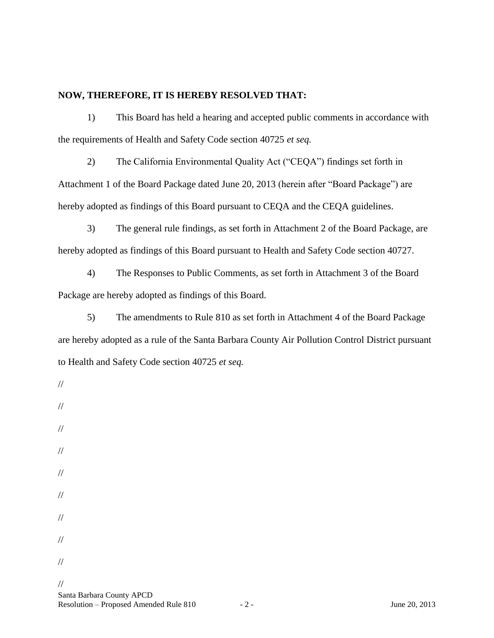### **NOW, THEREFORE, IT IS HEREBY RESOLVED THAT:**

1) This Board has held a hearing and accepted public comments in accordance with the requirements of Health and Safety Code section 40725 *et seq.*

2) The California Environmental Quality Act ("CEQA") findings set forth in Attachment 1 of the Board Package dated June 20, 2013 (herein after "Board Package") are hereby adopted as findings of this Board pursuant to CEQA and the CEQA guidelines.

3) The general rule findings, as set forth in Attachment 2 of the Board Package, are hereby adopted as findings of this Board pursuant to Health and Safety Code section 40727.

4) The Responses to Public Comments, as set forth in Attachment 3 of the Board Package are hereby adopted as findings of this Board.

5) The amendments to Rule 810 as set forth in Attachment 4 of the Board Package are hereby adopted as a rule of the Santa Barbara County Air Pollution Control District pursuant to Health and Safety Code section 40725 *et seq.*

//

//

- //
- //
- 
- //
- //
- //
- //
- //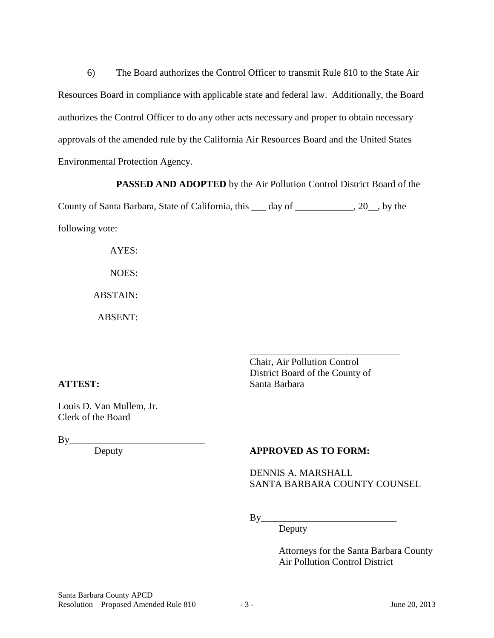6) The Board authorizes the Control Officer to transmit Rule 810 to the State Air Resources Board in compliance with applicable state and federal law. Additionally, the Board authorizes the Control Officer to do any other acts necessary and proper to obtain necessary approvals of the amended rule by the California Air Resources Board and the United States Environmental Protection Agency.

**PASSED AND ADOPTED** by the Air Pollution Control District Board of the

County of Santa Barbara, State of California, this \_\_\_ day of \_\_\_\_\_\_\_\_\_\_\_\_, 20\_\_, by the following vote:

> AYES: NOES: ABSTAIN:

ABSENT:

Chair, Air Pollution Control District Board of the County of **ATTEST:** Santa Barbara

\_\_\_\_\_\_\_\_\_\_\_\_\_\_\_\_\_\_\_\_\_\_\_\_\_\_\_\_\_\_\_

Louis D. Van Mullem, Jr. Clerk of the Board

By Deputy

### **APPROVED AS TO FORM:**

DENNIS A. MARSHALL SANTA BARBARA COUNTY COUNSEL

By\_\_\_\_\_\_\_\_\_\_\_\_\_\_\_\_\_\_\_\_\_\_\_\_\_\_\_\_

Deputy

Attorneys for the Santa Barbara County Air Pollution Control District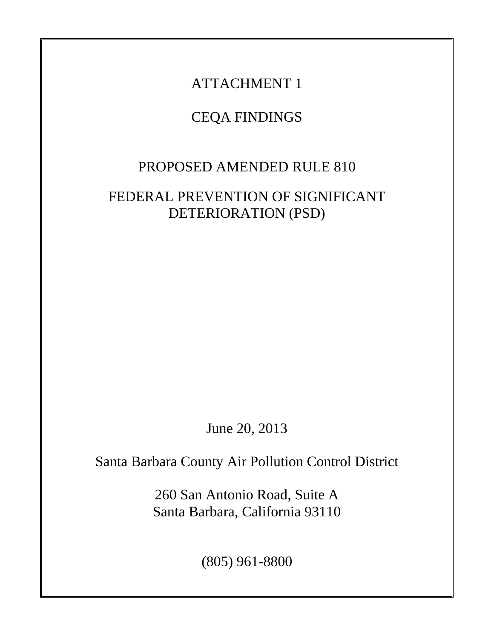# CEQA FINDINGS

## PROPOSED AMENDED RULE 810

## FEDERAL PREVENTION OF SIGNIFICANT DETERIORATION (PSD)

June 20, 2013

Santa Barbara County Air Pollution Control District

260 San Antonio Road, Suite A Santa Barbara, California 93110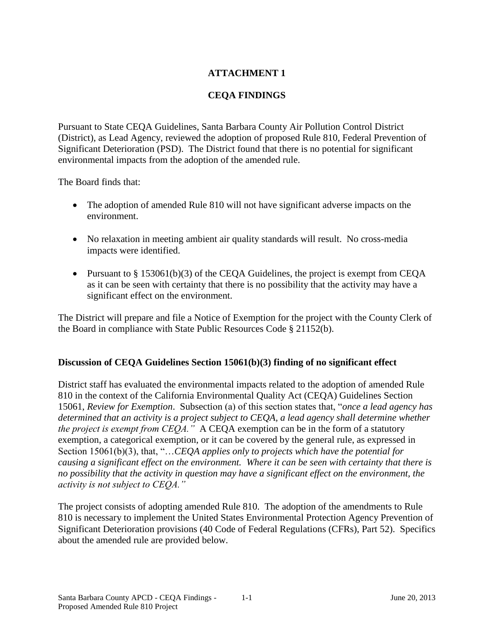### **CEQA FINDINGS**

Pursuant to State CEQA Guidelines, Santa Barbara County Air Pollution Control District (District), as Lead Agency, reviewed the adoption of proposed Rule 810, Federal Prevention of Significant Deterioration (PSD). The District found that there is no potential for significant environmental impacts from the adoption of the amended rule.

The Board finds that:

- The adoption of amended Rule 810 will not have significant adverse impacts on the environment.
- No relaxation in meeting ambient air quality standards will result. No cross-media impacts were identified.
- Pursuant to  $\S 153061(b)(3)$  of the CEQA Guidelines, the project is exempt from CEQA as it can be seen with certainty that there is no possibility that the activity may have a significant effect on the environment.

The District will prepare and file a Notice of Exemption for the project with the County Clerk of the Board in compliance with State Public Resources Code § 21152(b).

### **Discussion of CEQA Guidelines Section 15061(b)(3) finding of no significant effect**

District staff has evaluated the environmental impacts related to the adoption of amended Rule 810 in the context of the California Environmental Quality Act (CEQA) Guidelines Section 15061, *Review for Exemption*. Subsection (a) of this section states that, "*once a lead agency has determined that an activity is a project subject to CEQA, a lead agency shall determine whether the project is exempt from CEQA."* A CEQA exemption can be in the form of a statutory exemption, a categorical exemption, or it can be covered by the general rule, as expressed in Section 15061(b)(3), that, "…*CEQA applies only to projects which have the potential for causing a significant effect on the environment. Where it can be seen with certainty that there is no possibility that the activity in question may have a significant effect on the environment, the activity is not subject to CEQA."*

The project consists of adopting amended Rule 810. The adoption of the amendments to Rule 810 is necessary to implement the United States Environmental Protection Agency Prevention of Significant Deterioration provisions (40 Code of Federal Regulations (CFRs), Part 52). Specifics about the amended rule are provided below.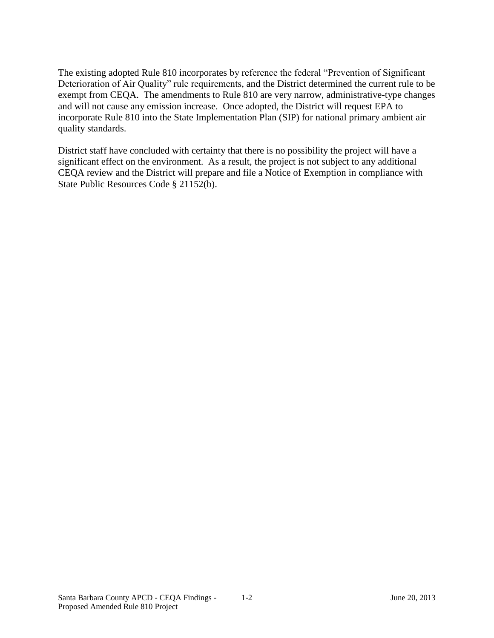The existing adopted Rule 810 incorporates by reference the federal "Prevention of Significant Deterioration of Air Quality" rule requirements, and the District determined the current rule to be exempt from CEQA. The amendments to Rule 810 are very narrow, administrative-type changes and will not cause any emission increase. Once adopted, the District will request EPA to incorporate Rule 810 into the State Implementation Plan (SIP) for national primary ambient air quality standards.

District staff have concluded with certainty that there is no possibility the project will have a significant effect on the environment. As a result, the project is not subject to any additional CEQA review and the District will prepare and file a Notice of Exemption in compliance with State Public Resources Code § 21152(b).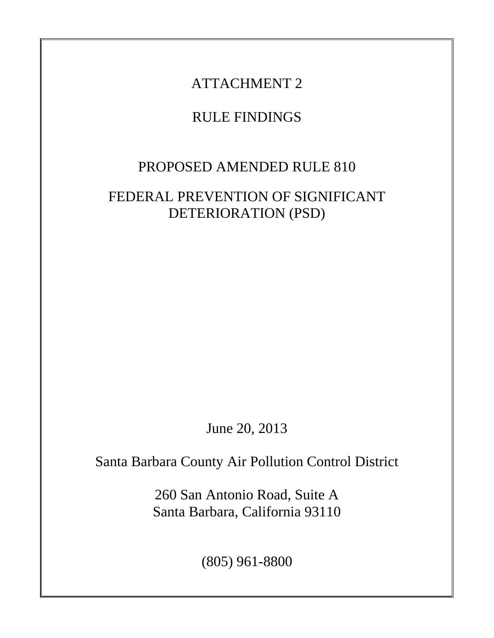## RULE FINDINGS

## PROPOSED AMENDED RULE 810

### FEDERAL PREVENTION OF SIGNIFICANT DETERIORATION (PSD)

June 20, 2013

Santa Barbara County Air Pollution Control District

260 San Antonio Road, Suite A Santa Barbara, California 93110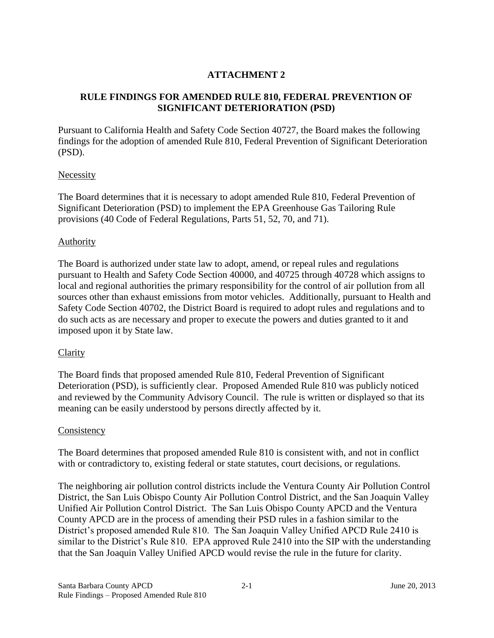### **RULE FINDINGS FOR AMENDED RULE 810, FEDERAL PREVENTION OF SIGNIFICANT DETERIORATION (PSD)**

Pursuant to California Health and Safety Code Section 40727, the Board makes the following findings for the adoption of amended Rule 810, Federal Prevention of Significant Deterioration (PSD).

### Necessity

The Board determines that it is necessary to adopt amended Rule 810, Federal Prevention of Significant Deterioration (PSD) to implement the EPA Greenhouse Gas Tailoring Rule provisions (40 Code of Federal Regulations, Parts 51, 52, 70, and 71).

### **Authority**

The Board is authorized under state law to adopt, amend, or repeal rules and regulations pursuant to Health and Safety Code Section 40000, and 40725 through 40728 which assigns to local and regional authorities the primary responsibility for the control of air pollution from all sources other than exhaust emissions from motor vehicles. Additionally, pursuant to Health and Safety Code Section 40702, the District Board is required to adopt rules and regulations and to do such acts as are necessary and proper to execute the powers and duties granted to it and imposed upon it by State law.

### **Clarity**

The Board finds that proposed amended Rule 810, Federal Prevention of Significant Deterioration (PSD), is sufficiently clear. Proposed Amended Rule 810 was publicly noticed and reviewed by the Community Advisory Council. The rule is written or displayed so that its meaning can be easily understood by persons directly affected by it.

### **Consistency**

The Board determines that proposed amended Rule 810 is consistent with, and not in conflict with or contradictory to, existing federal or state statutes, court decisions, or regulations.

The neighboring air pollution control districts include the Ventura County Air Pollution Control District, the San Luis Obispo County Air Pollution Control District, and the San Joaquin Valley Unified Air Pollution Control District. The San Luis Obispo County APCD and the Ventura County APCD are in the process of amending their PSD rules in a fashion similar to the District's proposed amended Rule 810. The San Joaquin Valley Unified APCD Rule 2410 is similar to the District's Rule 810. EPA approved Rule 2410 into the SIP with the understanding that the San Joaquin Valley Unified APCD would revise the rule in the future for clarity.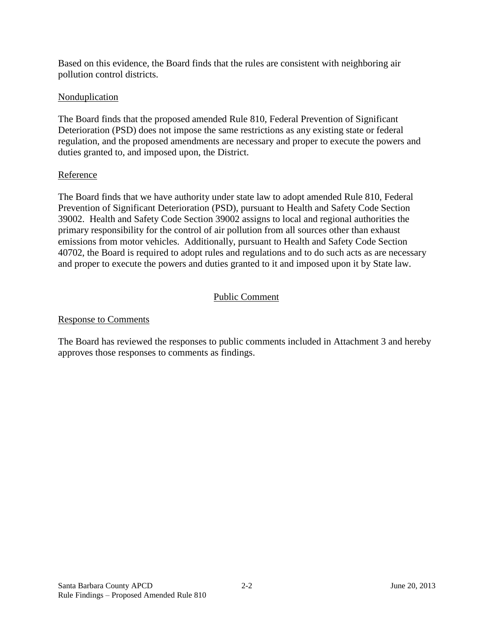Based on this evidence, the Board finds that the rules are consistent with neighboring air pollution control districts.

### **Nonduplication**

The Board finds that the proposed amended Rule 810, Federal Prevention of Significant Deterioration (PSD) does not impose the same restrictions as any existing state or federal regulation, and the proposed amendments are necessary and proper to execute the powers and duties granted to, and imposed upon, the District.

### Reference

The Board finds that we have authority under state law to adopt amended Rule 810, Federal Prevention of Significant Deterioration (PSD), pursuant to Health and Safety Code Section 39002. Health and Safety Code Section 39002 assigns to local and regional authorities the primary responsibility for the control of air pollution from all sources other than exhaust emissions from motor vehicles. Additionally, pursuant to Health and Safety Code Section 40702, the Board is required to adopt rules and regulations and to do such acts as are necessary and proper to execute the powers and duties granted to it and imposed upon it by State law.

### Public Comment

### Response to Comments

The Board has reviewed the responses to public comments included in Attachment 3 and hereby approves those responses to comments as findings.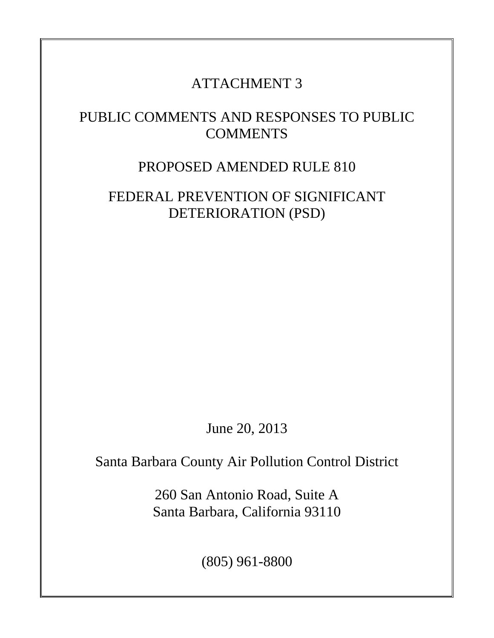### PUBLIC COMMENTS AND RESPONSES TO PUBLIC **COMMENTS**

### PROPOSED AMENDED RULE 810

### FEDERAL PREVENTION OF SIGNIFICANT DETERIORATION (PSD)

June 20, 2013

Santa Barbara County Air Pollution Control District

260 San Antonio Road, Suite A Santa Barbara, California 93110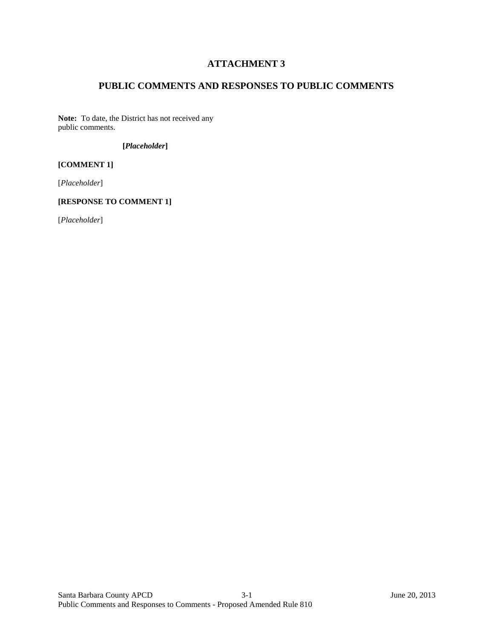### **PUBLIC COMMENTS AND RESPONSES TO PUBLIC COMMENTS**

**Note:** To date, the District has not received any public comments.

#### **[***Placeholder***]**

#### **[COMMENT 1]**

[*Placeholder*]

#### **[RESPONSE TO COMMENT 1]**

[*Placeholder*]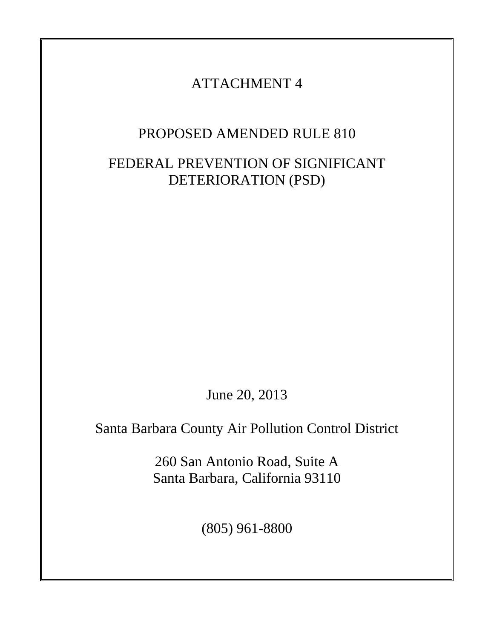### PROPOSED AMENDED RULE 810

### FEDERAL PREVENTION OF SIGNIFICANT DETERIORATION (PSD)

June 20, 2013

Santa Barbara County Air Pollution Control District

260 San Antonio Road, Suite A Santa Barbara, California 93110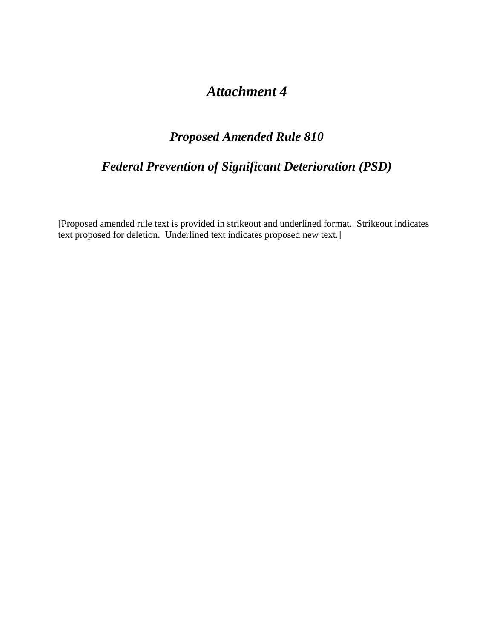### *Attachment 4*

### *Proposed Amended Rule 810*

### *Federal Prevention of Significant Deterioration (PSD)*

[Proposed amended rule text is provided in strikeout and underlined format. Strikeout indicates text proposed for deletion. Underlined text indicates proposed new text.]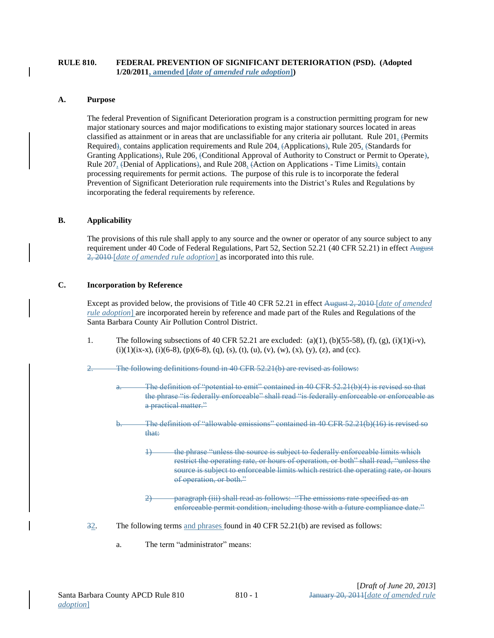#### **RULE 810. FEDERAL PREVENTION OF SIGNIFICANT DETERIORATION (PSD). (Adopted 1/20/2011, amended [***date of amended rule adoption***])**

#### **A. Purpose**

The federal Prevention of Significant Deterioration program is a construction permitting program for new major stationary sources and major modifications to existing major stationary sources located in areas classified as attainment or in areas that are unclassifiable for any criteria air pollutant. Rule  $201<sub>2</sub>$  (Permits Required), contains application requirements and Rule 204, (Applications), Rule 205, (Standards for Granting Applications), Rule 206, (Conditional Approval of Authority to Construct or Permit to Operate), Rule 207, (Denial of Applications), and Rule 208, (Action on Applications - Time Limits), contain processing requirements for permit actions. The purpose of this rule is to incorporate the federal Prevention of Significant Deterioration rule requirements into the District's Rules and Regulations by incorporating the federal requirements by reference.

#### **B. Applicability**

The provisions of this rule shall apply to any source and the owner or operator of any source subject to any requirement under 40 Code of Federal Regulations, Part 52, Section 52.21 (40 CFR 52.21) in effect August 2, 2010 [*date of amended rule adoption*] as incorporated into this rule.

#### **C. Incorporation by Reference**

Except as provided below, the provisions of Title 40 CFR 52.21 in effect August 2, 2010 [*date of amended rule adoption*] are incorporated herein by reference and made part of the Rules and Regulations of the Santa Barbara County Air Pollution Control District.

1. The following subsections of 40 CFR 52.21 are excluded: (a)(1), (b)(55-58), (f), (g), (i)(1)(i-v),  $(i)(1)(ix-x)$ ,  $(i)(6-8)$ ,  $(p)(6-8)$ ,  $(q)$ ,  $(s)$ ,  $(t)$ ,  $(u)$ ,  $(v)$ ,  $(w)$ ,  $(x)$ ,  $(y)$ ,  $(z)$ , and (cc).

2. The following definitions found in 40 CFR 52.21(b) are revised as follows:

- a. The definition of "potential to emit" contained in 40 CFR 52.21(b)(4) is revised so that the phrase "is federally enforceable" shall read "is federally enforceable or enforceable as a practical matter."
- b. The definition of "allowable emissions" contained in 40 CFR 52.21(b)(16) is revised so that:
	- 1) the phrase "unless the source is subject to federally enforceable limits which restrict the operating rate, or hours of operation, or both" shall read, "unless the source is subject to enforceable limits which restrict the operating rate, or hours of operation, or both."
	- 2) paragraph (iii) shall read as follows: "The emissions rate specified as an enforceable permit condition, including those with a future compliance date."
- 32. The following terms and phrases found in 40 CFR 52.21(b) are revised as follows:
	- a. The term "administrator" means: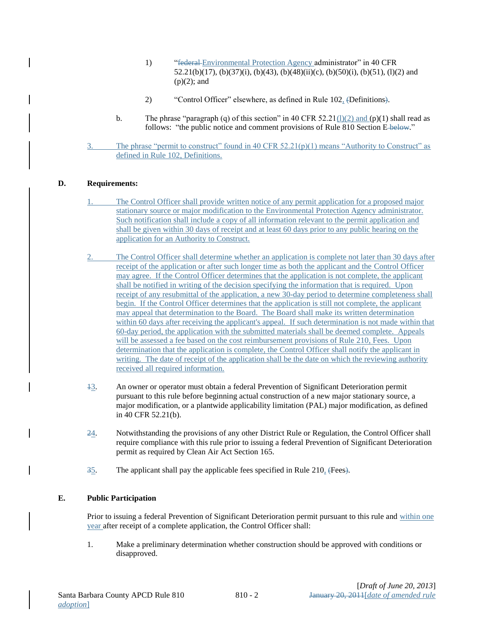- 1) "<del>federal Environmental Protection Agency administrator</del>" in 40 CFR 52.21(b)(17), (b)(37)(i), (b)(43), (b)(48)(ii)(c), (b)(50)(i), (b)(51), (l)(2) and  $(p)(2)$ ; and
- 2) "Control Officer" elsewhere, as defined in Rule 102, (Definitions).
- b. The phrase "paragraph (q) of this section" in 40 CFR 52.21(1)(2) and (p)(1) shall read as follows: "the public notice and comment provisions of Rule 810 Section E-below."
- 3. The phrase "permit to construct" found in 40 CFR  $52.21(p)(1)$  means "Authority to Construct" as defined in Rule 102, Definitions.

#### **D. Requirements:**

- 1. The Control Officer shall provide written notice of any permit application for a proposed major stationary source or major modification to the Environmental Protection Agency administrator. Such notification shall include a copy of all information relevant to the permit application and shall be given within 30 days of receipt and at least 60 days prior to any public hearing on the application for an Authority to Construct.
- 2. The Control Officer shall determine whether an application is complete not later than 30 days after receipt of the application or after such longer time as both the applicant and the Control Officer may agree. If the Control Officer determines that the application is not complete, the applicant shall be notified in writing of the decision specifying the information that is required. Upon receipt of any resubmittal of the application, a new 30-day period to determine completeness shall begin. If the Control Officer determines that the application is still not complete, the applicant may appeal that determination to the Board. The Board shall make its written determination within 60 days after receiving the applicant's appeal. If such determination is not made within that 60-day period, the application with the submitted materials shall be deemed complete. Appeals will be assessed a fee based on the cost reimbursement provisions of Rule 210, Fees. Upon determination that the application is complete, the Control Officer shall notify the applicant in writing. The date of receipt of the application shall be the date on which the reviewing authority received all required information.
- 13. An owner or operator must obtain a federal Prevention of Significant Deterioration permit pursuant to this rule before beginning actual construction of a new major stationary source, a major modification, or a plantwide applicability limitation (PAL) major modification, as defined in 40 CFR 52.21(b).
- 24. Notwithstanding the provisions of any other District Rule or Regulation, the Control Officer shall require compliance with this rule prior to issuing a federal Prevention of Significant Deterioration permit as required by Clean Air Act Section 165.
- 35. The applicant shall pay the applicable fees specified in Rule 210, (Fees).

#### **E. Public Participation**

Prior to issuing a federal Prevention of Significant Deterioration permit pursuant to this rule and within one year after receipt of a complete application, the Control Officer shall:

1. Make a preliminary determination whether construction should be approved with conditions or disapproved.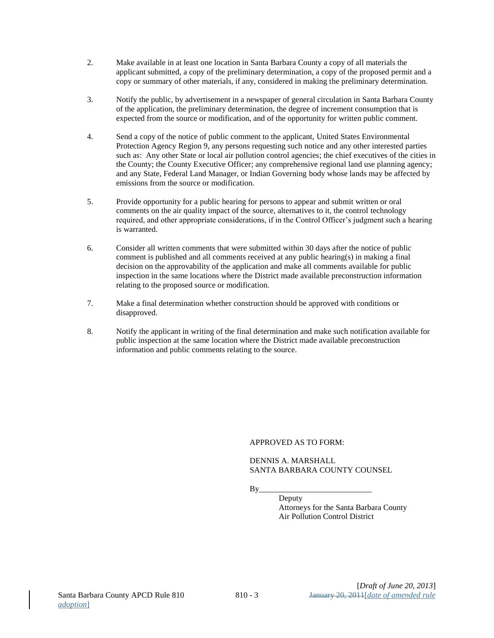- 2. Make available in at least one location in Santa Barbara County a copy of all materials the applicant submitted, a copy of the preliminary determination, a copy of the proposed permit and a copy or summary of other materials, if any, considered in making the preliminary determination.
- 3. Notify the public, by advertisement in a newspaper of general circulation in Santa Barbara County of the application, the preliminary determination, the degree of increment consumption that is expected from the source or modification, and of the opportunity for written public comment.
- 4. Send a copy of the notice of public comment to the applicant, United States Environmental Protection Agency Region 9, any persons requesting such notice and any other interested parties such as: Any other State or local air pollution control agencies; the chief executives of the cities in the County; the County Executive Officer; any comprehensive regional land use planning agency; and any State, Federal Land Manager, or Indian Governing body whose lands may be affected by emissions from the source or modification.
- 5. Provide opportunity for a public hearing for persons to appear and submit written or oral comments on the air quality impact of the source, alternatives to it, the control technology required, and other appropriate considerations, if in the Control Officer's judgment such a hearing is warranted.
- 6. Consider all written comments that were submitted within 30 days after the notice of public comment is published and all comments received at any public hearing(s) in making a final decision on the approvability of the application and make all comments available for public inspection in the same locations where the District made available preconstruction information relating to the proposed source or modification.
- 7. Make a final determination whether construction should be approved with conditions or disapproved.
- 8. Notify the applicant in writing of the final determination and make such notification available for public inspection at the same location where the District made available preconstruction information and public comments relating to the source.

#### APPROVED AS TO FORM:

#### DENNIS A. MARSHALL SANTA BARBARA COUNTY COUNSEL

 $By \_\_$ 

Deputy Attorneys for the Santa Barbara County Air Pollution Control District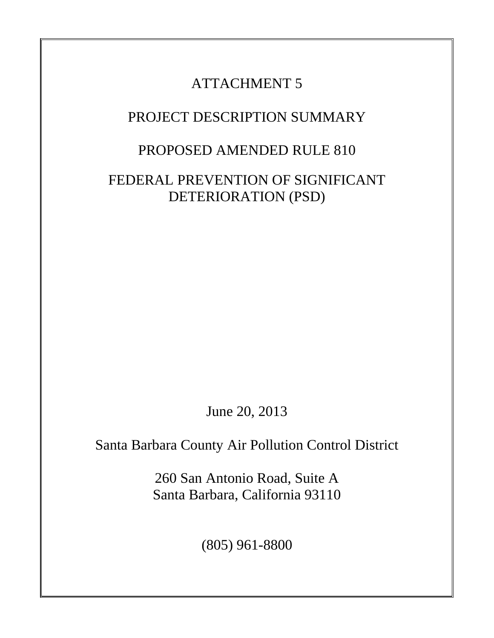### PROJECT DESCRIPTION SUMMARY

### PROPOSED AMENDED RULE 810

FEDERAL PREVENTION OF SIGNIFICANT DETERIORATION (PSD)

June 20, 2013

Santa Barbara County Air Pollution Control District

260 San Antonio Road, Suite A Santa Barbara, California 93110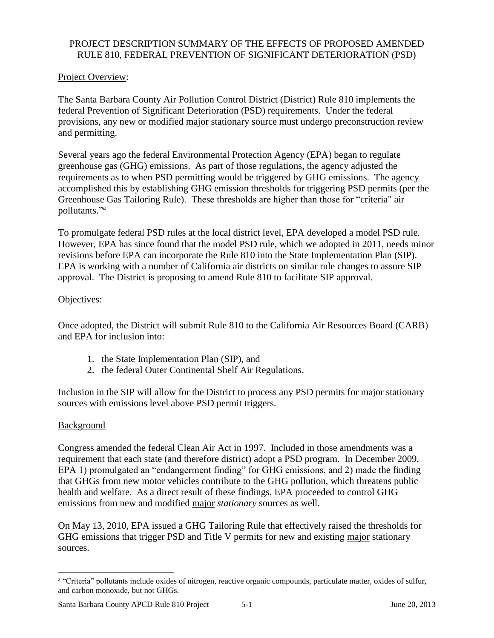### PROJECT DESCRIPTION SUMMARY OF THE EFFECTS OF PROPOSED AMENDED RULE 810, FEDERAL PREVENTION OF SIGNIFICANT DETERIORATION (PSD)

### Project Overview:

The Santa Barbara County Air Pollution Control District (District) Rule 810 implements the federal Prevention of Significant Deterioration (PSD) requirements. Under the federal provisions, any new or modified major stationary source must undergo preconstruction review and permitting.

Several years ago the federal Environmental Protection Agency (EPA) began to regulate greenhouse gas (GHG) emissions. As part of those regulations, the agency adjusted the requirements as to when PSD permitting would be triggered by GHG emissions. The agency accomplished this by establishing GHG emission thresholds for triggering PSD permits (per the Greenhouse Gas Tailoring Rule). These thresholds are higher than those for "criteria" air pollutants."<sup>a</sup>

To promulgate federal PSD rules at the local district level, EPA developed a model PSD rule. However, EPA has since found that the model PSD rule, which we adopted in 2011, needs minor revisions before EPA can incorporate the Rule 810 into the State Implementation Plan (SIP). EPA is working with a number of California air districts on similar rule changes to assure SIP approval. The District is proposing to amend Rule 810 to facilitate SIP approval.

### Objectives:

Once adopted, the District will submit Rule 810 to the California Air Resources Board (CARB) and EPA for inclusion into:

- 1. the State Implementation Plan (SIP), and
- 2. the federal Outer Continental Shelf Air Regulations.

Inclusion in the SIP will allow for the District to process any PSD permits for major stationary sources with emissions level above PSD permit triggers.

### **Background**

 $\overline{\phantom{a}}$ 

Congress amended the federal Clean Air Act in 1997. Included in those amendments was a requirement that each state (and therefore district) adopt a PSD program. In December 2009, EPA 1) promulgated an "endangerment finding" for GHG emissions, and 2) made the finding that GHGs from new motor vehicles contribute to the GHG pollution, which threatens public health and welfare. As a direct result of these findings, EPA proceeded to control GHG emissions from new and modified major *stationary* sources as well.

On May 13, 2010, EPA issued a GHG Tailoring Rule that effectively raised the thresholds for GHG emissions that trigger PSD and Title V permits for new and existing major stationary sources.

a "Criteria" pollutants include oxides of nitrogen, reactive organic compounds, particulate matter, oxides of sulfur, and carbon monoxide, but not GHGs.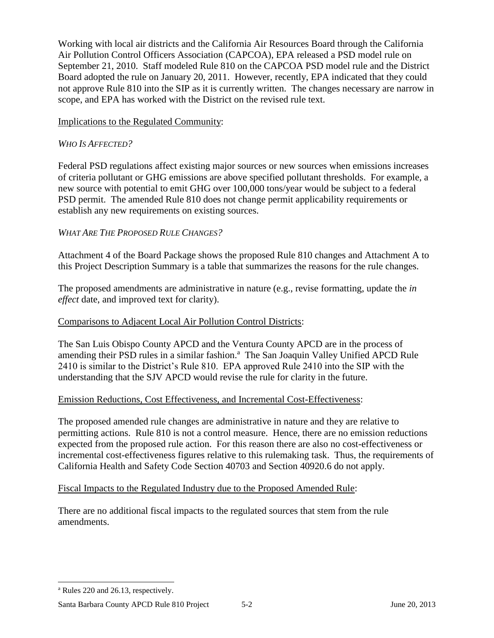Working with local air districts and the California Air Resources Board through the California Air Pollution Control Officers Association (CAPCOA), EPA released a PSD model rule on September 21, 2010. Staff modeled Rule 810 on the CAPCOA PSD model rule and the District Board adopted the rule on January 20, 2011. However, recently, EPA indicated that they could not approve Rule 810 into the SIP as it is currently written. The changes necessary are narrow in scope, and EPA has worked with the District on the revised rule text.

### Implications to the Regulated Community:

### *WHO IS AFFECTED?*

Federal PSD regulations affect existing major sources or new sources when emissions increases of criteria pollutant or GHG emissions are above specified pollutant thresholds. For example, a new source with potential to emit GHG over 100,000 tons/year would be subject to a federal PSD permit. The amended Rule 810 does not change permit applicability requirements or establish any new requirements on existing sources.

### *WHAT ARE THE PROPOSED RULE CHANGES?*

Attachment 4 of the Board Package shows the proposed Rule 810 changes and Attachment A to this Project Description Summary is a table that summarizes the reasons for the rule changes.

The proposed amendments are administrative in nature (e.g., revise formatting, update the *in effect* date, and improved text for clarity).

### Comparisons to Adjacent Local Air Pollution Control Districts:

The San Luis Obispo County APCD and the Ventura County APCD are in the process of amending their PSD rules in a similar fashion.<sup>a</sup> The San Joaquin Valley Unified APCD Rule 2410 is similar to the District's Rule 810. EPA approved Rule 2410 into the SIP with the understanding that the SJV APCD would revise the rule for clarity in the future.

### Emission Reductions, Cost Effectiveness, and Incremental Cost-Effectiveness:

The proposed amended rule changes are administrative in nature and they are relative to permitting actions. Rule 810 is not a control measure. Hence, there are no emission reductions expected from the proposed rule action. For this reason there are also no cost-effectiveness or incremental cost-effectiveness figures relative to this rulemaking task. Thus, the requirements of California Health and Safety Code Section 40703 and Section 40920.6 do not apply.

### Fiscal Impacts to the Regulated Industry due to the Proposed Amended Rule:

There are no additional fiscal impacts to the regulated sources that stem from the rule amendments.

 $\overline{\phantom{a}}$ 

<sup>a</sup> Rules 220 and 26.13, respectively.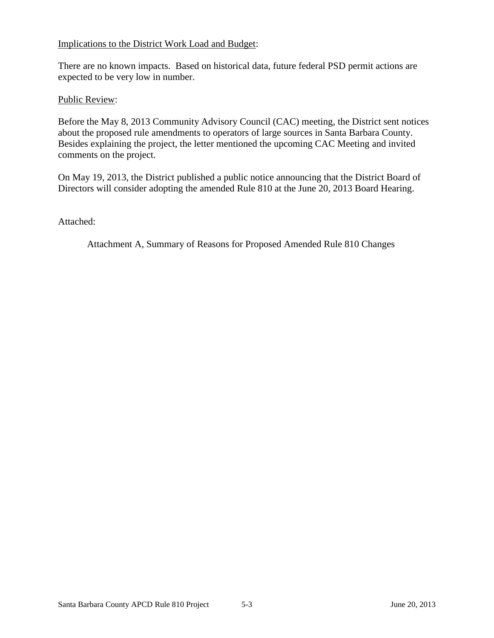### Implications to the District Work Load and Budget:

There are no known impacts. Based on historical data, future federal PSD permit actions are expected to be very low in number.

#### Public Review:

Before the May 8, 2013 Community Advisory Council (CAC) meeting, the District sent notices about the proposed rule amendments to operators of large sources in Santa Barbara County. Besides explaining the project, the letter mentioned the upcoming CAC Meeting and invited comments on the project.

On May 19, 2013, the District published a public notice announcing that the District Board of Directors will consider adopting the amended Rule 810 at the June 20, 2013 Board Hearing.

Attached:

Attachment A, Summary of Reasons for Proposed Amended Rule 810 Changes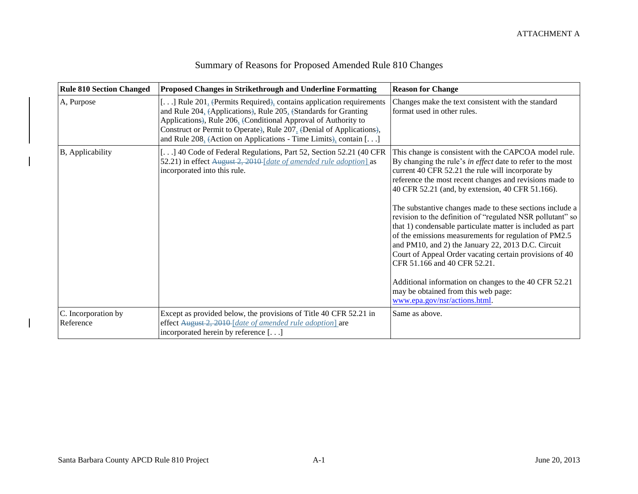| <b>Rule 810 Section Changed</b>  | <b>Proposed Changes in Strikethrough and Underline Formatting</b>                                                                                                                                                                                                                                                                                   | <b>Reason for Change</b>                                                                                                                                                                                                                                                                                                                                                                                                                                                                                                                                                                                                                                                                                                                                                                                                   |
|----------------------------------|-----------------------------------------------------------------------------------------------------------------------------------------------------------------------------------------------------------------------------------------------------------------------------------------------------------------------------------------------------|----------------------------------------------------------------------------------------------------------------------------------------------------------------------------------------------------------------------------------------------------------------------------------------------------------------------------------------------------------------------------------------------------------------------------------------------------------------------------------------------------------------------------------------------------------------------------------------------------------------------------------------------------------------------------------------------------------------------------------------------------------------------------------------------------------------------------|
| A, Purpose                       | [] Rule 201, (Permits Required), contains application requirements<br>and Rule 204, (Applications), Rule 205, (Standards for Granting<br>Applications), Rule 206, (Conditional Approval of Authority to<br>Construct or Permit to Operate), Rule 207, (Denial of Applications),<br>and Rule 208, (Action on Applications - Time Limits), contain [] | Changes make the text consistent with the standard<br>format used in other rules.                                                                                                                                                                                                                                                                                                                                                                                                                                                                                                                                                                                                                                                                                                                                          |
| B, Applicability                 | [] 40 Code of Federal Regulations, Part 52, Section 52.21 (40 CFR<br>52.21) in effect August 2, 2010 [date of amended rule adoption] as<br>incorporated into this rule.                                                                                                                                                                             | This change is consistent with the CAPCOA model rule.<br>By changing the rule's in effect date to refer to the most<br>current 40 CFR 52.21 the rule will incorporate by<br>reference the most recent changes and revisions made to<br>40 CFR 52.21 (and, by extension, 40 CFR 51.166).<br>The substantive changes made to these sections include a<br>revision to the definition of "regulated NSR pollutant" so<br>that 1) condensable particulate matter is included as part<br>of the emissions measurements for regulation of PM2.5<br>and PM10, and 2) the January 22, 2013 D.C. Circuit<br>Court of Appeal Order vacating certain provisions of 40<br>CFR 51.166 and 40 CFR 52.21.<br>Additional information on changes to the 40 CFR 52.21<br>may be obtained from this web page:<br>www.epa.gov/nsr/actions.html. |
| C. Incorporation by<br>Reference | Except as provided below, the provisions of Title 40 CFR 52.21 in<br>effect August 2, 2010 [date of amended rule adoption] are<br>incorporated herein by reference []                                                                                                                                                                               | Same as above.                                                                                                                                                                                                                                                                                                                                                                                                                                                                                                                                                                                                                                                                                                                                                                                                             |

### Summary of Reasons for Proposed Amended Rule 810 Changes

 $\overline{\phantom{a}}$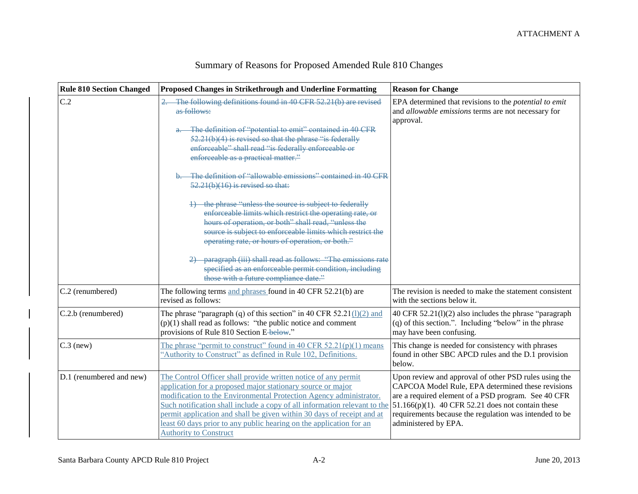| <b>Rule 810 Section Changed</b> | <b>Proposed Changes in Strikethrough and Underline Formatting</b>                                                                                                                                                                                                                                                                                                                                                                                                                                                                                                                                                                                                                                                                                                                                                                      | <b>Reason for Change</b>                                                                                                                                                                                                                                                                                    |
|---------------------------------|----------------------------------------------------------------------------------------------------------------------------------------------------------------------------------------------------------------------------------------------------------------------------------------------------------------------------------------------------------------------------------------------------------------------------------------------------------------------------------------------------------------------------------------------------------------------------------------------------------------------------------------------------------------------------------------------------------------------------------------------------------------------------------------------------------------------------------------|-------------------------------------------------------------------------------------------------------------------------------------------------------------------------------------------------------------------------------------------------------------------------------------------------------------|
| C.2                             | The following definitions found in 40 CFR 52.21(b) are revised<br>as follows:<br>The definition of "potential to emit" contained in 40 CFR<br>$52.21(b)(4)$ is revised so that the phrase "is federally<br>enforceable" shall read "is federally enforceable or<br>enforceable as a practical matter."<br>The definition of "allowable emissions" contained in 40 CFR<br>$52.21(b)(16)$ is revised so that:<br>4) the phrase "unless the source is subject to federally<br>enforceable limits which restrict the operating rate, or<br>hours of operation, or both" shall read, "unless the<br>source is subject to enforceable limits which restrict the<br>operating rate, or hours of operation, or both."<br>paragraph (iii) shall read as follows: "The emissions rate<br>specified as an enforceable permit condition, including | EPA determined that revisions to the potential to emit<br>and allowable emissions terms are not necessary for<br>approval.                                                                                                                                                                                  |
|                                 | those with a future compliance date."                                                                                                                                                                                                                                                                                                                                                                                                                                                                                                                                                                                                                                                                                                                                                                                                  |                                                                                                                                                                                                                                                                                                             |
| C.2 (renumbered)                | The following terms and phrases found in 40 CFR 52.21(b) are<br>revised as follows:                                                                                                                                                                                                                                                                                                                                                                                                                                                                                                                                                                                                                                                                                                                                                    | The revision is needed to make the statement consistent<br>with the sections below it.                                                                                                                                                                                                                      |
| C.2.b (renumbered)              | The phrase "paragraph (q) of this section" in 40 CFR 52.21 $(1)(2)$ and<br>$(p)(1)$ shall read as follows: "the public notice and comment"<br>provisions of Rule 810 Section E-below."                                                                                                                                                                                                                                                                                                                                                                                                                                                                                                                                                                                                                                                 | 40 CFR $52.21(1)(2)$ also includes the phrase "paragraph"<br>(q) of this section.". Including "below" in the phrase<br>may have been confusing.                                                                                                                                                             |
| $C.3$ (new)                     | The phrase "permit to construct" found in 40 CFR 52.21(p)(1) means<br>'Authority to Construct'' as defined in Rule 102, Definitions.                                                                                                                                                                                                                                                                                                                                                                                                                                                                                                                                                                                                                                                                                                   | This change is needed for consistency with phrases<br>found in other SBC APCD rules and the D.1 provision<br>below.                                                                                                                                                                                         |
| D.1 (renumbered and new)        | The Control Officer shall provide written notice of any permit<br>application for a proposed major stationary source or major<br>modification to the Environmental Protection Agency administrator.<br>Such notification shall include a copy of all information relevant to the<br>permit application and shall be given within 30 days of receipt and at<br>least 60 days prior to any public hearing on the application for an<br><b>Authority to Construct</b>                                                                                                                                                                                                                                                                                                                                                                     | Upon review and approval of other PSD rules using the<br>CAPCOA Model Rule, EPA determined these revisions<br>are a required element of a PSD program. See 40 CFR<br>$51.166(p)(1)$ . 40 CFR 52.21 does not contain these<br>requirements because the regulation was intended to be<br>administered by EPA. |

### Summary of Reasons for Proposed Amended Rule 810 Changes